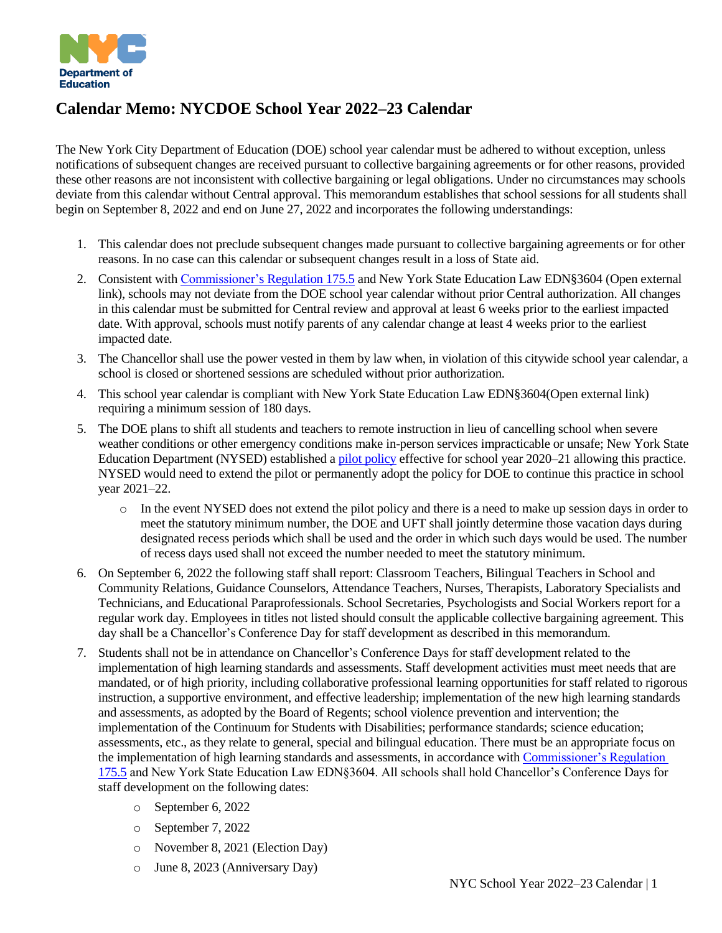

# **Calendar Memo: NYCDOE School Year 2022–23 Calendar**

The New York City Department of Education (DOE) school year calendar must be adhered to without exception, unless notifications of subsequent changes are received pursuant to collective bargaining agreements or for other reasons, provided these other reasons are not inconsistent with collective bargaining or legal obligations. Under no circumstances may schools deviate from this calendar without Central approval. This memorandum establishes that school sessions for all students shall begin on September 8, 2022 and end on June 27, 2022 and incorporates the following understandings:

- 1. This calendar does not preclude subsequent changes made pursuant to collective bargaining agreements or for other reasons. In no case can this calendar or subsequent changes result in a loss of State aid.
- 2. Consistent with [Commissioner's Regulation 175.5](mailto:https://govt.westlaw.com/nycrr/Document/I09a7ee65c22211dda1bb852bdc84e3be?viewType=FullText&originationContext=documenttoc&transitionType=CategoryPageItem&contextData=(sc.Default)) and New York State Education Law EDN§3604 (Open external link), schools may not deviate from the DOE school year calendar without prior Central authorization. All changes in this calendar must be submitted for Central review and approval at least 6 weeks prior to the earliest impacted date. With approval, schools must notify parents of any calendar change at least 4 weeks prior to the earliest impacted date.
- 3. The Chancellor shall use the power vested in them by law when, in violation of this citywide school year calendar, a school is closed or shortened sessions are scheduled without prior authorization.
- 4. This school year calendar is compliant with New York State Education Law EDN§3604(Open external link) requiring a minimum session of 180 days.
- 5. The DOE plans to shift all students and teachers to remote instruction in lieu of cancelling school when severe weather conditions or other emergency conditions make in-person services impracticable or unsafe; New York State Education Department (NYSED) established a [pilot policy](mailto:https://stateaid.nysed.gov/attendance/htm_docs/Remote%20Snow%20Day%20Pilot%202020-21%20School%20Year.html) effective for school year 2020–21 allowing this practice. NYSED would need to extend the pilot or permanently adopt the policy for DOE to continue this practice in school year 2021–22.
	- o In the event NYSED does not extend the pilot policy and there is a need to make up session days in order to meet the statutory minimum number, the DOE and UFT shall jointly determine those vacation days during designated recess periods which shall be used and the order in which such days would be used. The number of recess days used shall not exceed the number needed to meet the statutory minimum.
- 6. On September 6, 2022 the following staff shall report: Classroom Teachers, Bilingual Teachers in School and Community Relations, Guidance Counselors, Attendance Teachers, Nurses, Therapists, Laboratory Specialists and Technicians, and Educational Paraprofessionals. School Secretaries, Psychologists and Social Workers report for a regular work day. Employees in titles not listed should consult the applicable collective bargaining agreement. This day shall be a Chancellor's Conference Day for staff development as described in this memorandum.
- 7. Students shall not be in attendance on Chancellor's Conference Days for staff development related to the implementation of high learning standards and assessments. Staff development activities must meet needs that are mandated, or of high priority, including collaborative professional learning opportunities for staff related to rigorous instruction, a supportive environment, and effective leadership; implementation of the new high learning standards and assessments, as adopted by the Board of Regents; school violence prevention and intervention; the implementation of the Continuum for Students with Disabilities; performance standards; science education; assessments, etc., as they relate to general, special and bilingual education. There must be an appropriate focus on the implementation of high learning standards and assessments, in accordance wit[h Commissioner's Regulation](mailto:https://govt.westlaw.com/nycrr/Document/I09a7ee65c22211dda1bb852bdc84e3be?viewType=FullText&originationContext=documenttoc&transitionType=CategoryPageItem&contextData=(sc.Default)) [175.5](mailto:https://govt.westlaw.com/nycrr/Document/I09a7ee65c22211dda1bb852bdc84e3be?viewType=FullText&originationContext=documenttoc&transitionType=CategoryPageItem&contextData=(sc.Default)) and New York State Education Law EDN§3604. All schools shall hold Chancellor's Conference Days for staff development on the following dates:
	- o September 6, 2022
	- o September 7, 2022
	- o November 8, 2021 (Election Day)
	- o June 8, 2023 (Anniversary Day)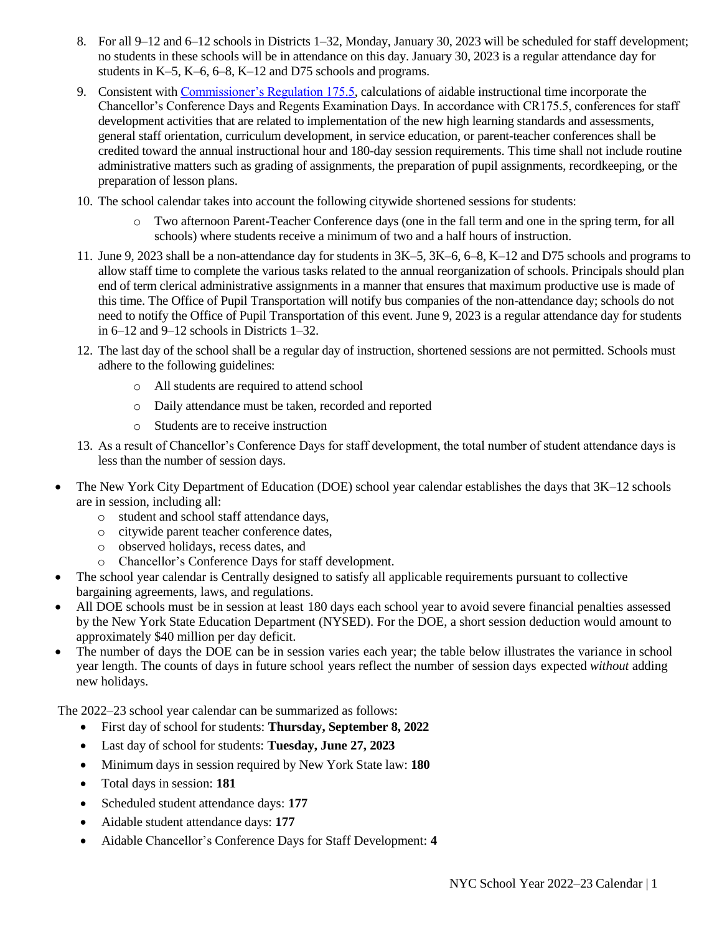- 8. For all 9–12 and 6–12 schools in Districts 1–32, Monday, January 30, 2023 will be scheduled for staff development; no students in these schools will be in attendance on this day. January 30, 2023 is a regular attendance day for students in K–5, K–6, 6–8, K–12 and D75 schools and programs.
- 9. Consistent with [Commissioner's Regulation 175.5,](mailto:https://govt.westlaw.com/nycrr/Document/I09a7ee65c22211dda1bb852bdc84e3be?viewType=FullText&originationContext=documenttoc&transitionType=CategoryPageItem&contextData=(sc.Default)) calculations of aidable instructional time incorporate the Chancellor's Conference Days and Regents Examination Days. In accordance with CR175.5, conferences for staff development activities that are related to implementation of the new high learning standards and assessments, general staff orientation, curriculum development, in service education, or parent-teacher conferences shall be credited toward the annual instructional hour and 180-day session requirements. This time shall not include routine administrative matters such as grading of assignments, the preparation of pupil assignments, recordkeeping, or the preparation of lesson plans.
- 10. The school calendar takes into account the following citywide shortened sessions for students:
	- o Two afternoon Parent-Teacher Conference days (one in the fall term and one in the spring term, for all schools) where students receive a minimum of two and a half hours of instruction.
- 11. June 9, 2023 shall be a non-attendance day for students in 3K–5, 3K–6, 6–8, K–12 and D75 schools and programs to allow staff time to complete the various tasks related to the annual reorganization of schools. Principals should plan end of term clerical administrative assignments in a manner that ensures that maximum productive use is made of this time. The Office of Pupil Transportation will notify bus companies of the non-attendance day; schools do not need to notify the Office of Pupil Transportation of this event. June 9, 2023 is a regular attendance day for students in 6–12 and 9–12 schools in Districts 1–32.
- 12. The last day of the school shall be a regular day of instruction, shortened sessions are not permitted. Schools must adhere to the following guidelines:
	- o All students are required to attend school
	- o Daily attendance must be taken, recorded and reported
	- o Students are to receive instruction
- 13. As a result of Chancellor's Conference Days for staff development, the total number of student attendance days is less than the number of session days.
- The New York City Department of Education (DOE) school year calendar establishes the days that  $3K-12$  schools are in session, including all:
	- o student and school staff attendance days,
	- o citywide parent teacher conference dates,
	- o observed holidays, recess dates, and
	- o Chancellor's Conference Days for staff development.
- The school year calendar is Centrally designed to satisfy all applicable requirements pursuant to collective bargaining agreements, laws, and regulations.
- All DOE schools must be in session at least 180 days each school year to avoid severe financial penalties assessed by the New York State Education Department (NYSED). For the DOE, a short session deduction would amount to approximately \$40 million per day deficit.
- The number of days the DOE can be in session varies each year; the table below illustrates the variance in school year length. The counts of days in future school years reflect the number of session days expected *without* adding new holidays.

The 2022–23 school year calendar can be summarized as follows:

- First day of school for students: **Thursday, September 8, 2022**
- Last day of school for students: **Tuesday, June 27, 2023**
- Minimum days in session required by New York State law: **180**
- Total days in session: **181**
- Scheduled student attendance days: **177**
- Aidable student attendance days: **177**
- Aidable Chancellor's Conference Days for Staff Development: **4**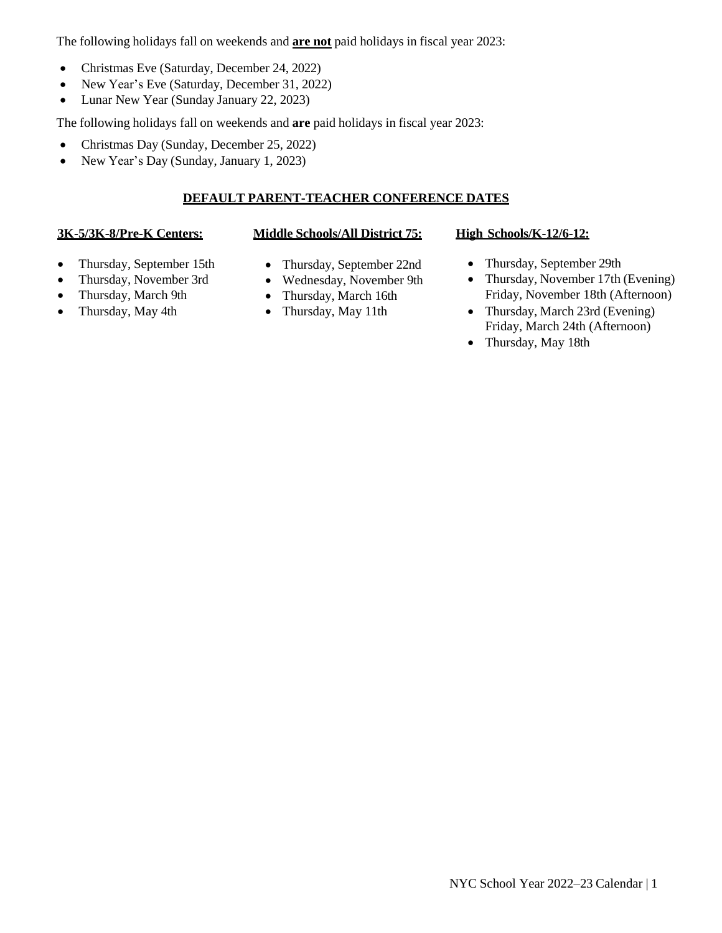The following holidays fall on weekends and **are not** paid holidays in fiscal year 2023:

- Christmas Eve (Saturday, December 24, 2022)
- New Year's Eve (Saturday, December 31, 2022)
- Lunar New Year (Sunday January 22, 2023)

The following holidays fall on weekends and **are** paid holidays in fiscal year 2023:

- Christmas Day (Sunday, December 25, 2022)
- New Year's Day (Sunday, January 1, 2023)

## **DEFAULT PARENT-TEACHER CONFERENCE DATES**

### **3K-5/3K-8/Pre-K Centers: Middle Schools/All District 75: High Schools/K-12/6-12:**

- Thursday, September 15th
- Thursday, November 3rd
- Thursday, March 9th
- Thursday, May 4th
- Thursday, September 22nd
- Wednesday, November 9th
- Thursday, March 16th
- Thursday, May 11th

- Thursday, September 29th
- Thursday, November 17th (Evening) Friday, November 18th (Afternoon)
- Thursday, March 23rd (Evening) Friday, March 24th (Afternoon)
- Thursday, May 18th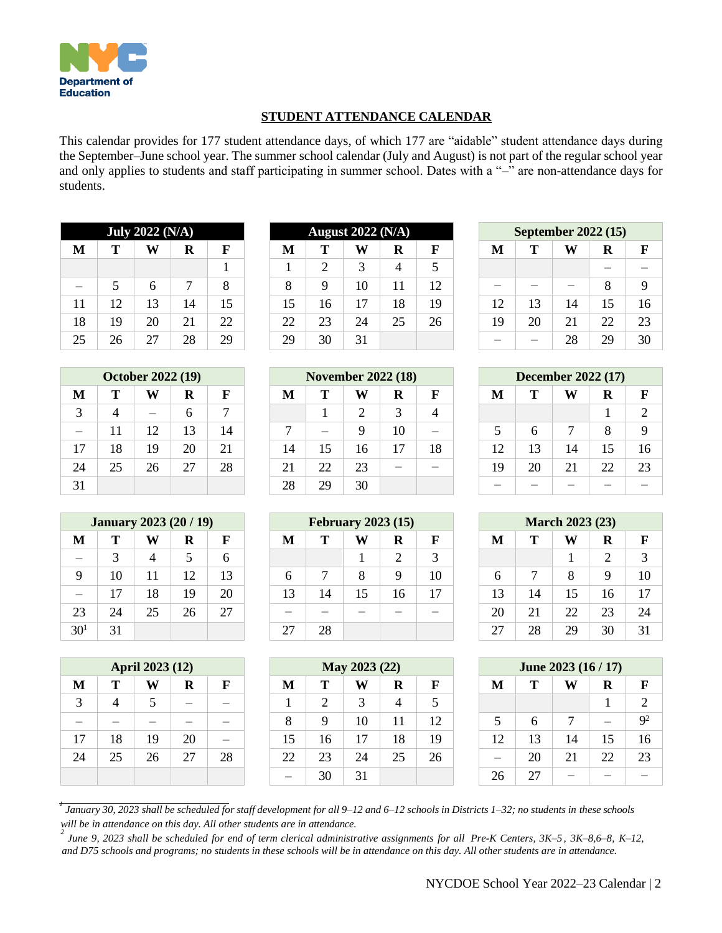

## **STUDENT ATTENDANCE CALENDAR**

This calendar provides for 177 student attendance days, of which 177 are "aidable" student attendance days during the September–June school year. The summer school calendar (July and August) is not part of the regular school year and only applies to students and staff participating in summer school. Dates with a "-" are non-attendance days for students.

| <b>July 2022 (N/A)</b> |    |    |    |    |  |  |  |  |  |
|------------------------|----|----|----|----|--|--|--|--|--|
| M                      | Т  | W  | R  | F  |  |  |  |  |  |
|                        |    |    |    | 1  |  |  |  |  |  |
|                        | 5  | 6  | 7  | 8  |  |  |  |  |  |
| 11                     | 12 | 13 | 14 | 15 |  |  |  |  |  |
| 18                     | 19 | 20 | 21 | 22 |  |  |  |  |  |
| 25                     | 26 | 27 | 28 | 29 |  |  |  |  |  |

| <b>October 2022 (19)</b> |    |    |    |    |  |  |  |  |  |
|--------------------------|----|----|----|----|--|--|--|--|--|
| M                        | Т  |    | R  | F  |  |  |  |  |  |
| 3                        | 4  |    | 6  | 7  |  |  |  |  |  |
|                          | 11 | 12 | 13 | 14 |  |  |  |  |  |
| 17                       | 18 | 19 | 20 | 21 |  |  |  |  |  |
| 24                       | 25 | 26 | 27 | 28 |  |  |  |  |  |
| 31                       |    |    |    |    |  |  |  |  |  |

| <b>January 2023 (20 / 19)</b> |    |    |                         |    |  |  |  |  |  |  |
|-------------------------------|----|----|-------------------------|----|--|--|--|--|--|--|
| M                             | Т  |    | R                       | F  |  |  |  |  |  |  |
|                               | 3  | 4  | $\overline{\mathbf{5}}$ | 6  |  |  |  |  |  |  |
| 9                             | 10 | 11 | 12                      | 13 |  |  |  |  |  |  |
|                               | 17 | 18 | 19                      | 20 |  |  |  |  |  |  |
| 23                            | 24 | 25 | 26                      | 27 |  |  |  |  |  |  |
| 30 <sup>1</sup>               | 31 |    |                         |    |  |  |  |  |  |  |

| April 2023 (12) |    |    |    |    |  |  |  |  |  |
|-----------------|----|----|----|----|--|--|--|--|--|
| M               | Т  |    | R  | F  |  |  |  |  |  |
| 3               | 4  | 5  |    |    |  |  |  |  |  |
|                 |    |    |    |    |  |  |  |  |  |
| 17              | 18 | 19 | 20 |    |  |  |  |  |  |
| 24              | 25 | 26 | 27 | 28 |  |  |  |  |  |
|                 |    |    |    |    |  |  |  |  |  |

| <b>July 2022 (N/A)</b> |    |    |                                       |    |  | <b>August 2022 (N/A)</b> |    |                 |    | <b>September 2022 (15)</b> |    |                          |                          |    |    |
|------------------------|----|----|---------------------------------------|----|--|--------------------------|----|-----------------|----|----------------------------|----|--------------------------|--------------------------|----|----|
| М                      | Т  | W  | W<br>$\bf R$<br>F<br>M<br>Т<br>R<br>F |    |  | M                        | т  | W               | R  |                            |    |                          |                          |    |    |
|                        |    |    |                                       |    |  |                          | ↑  | $\mathcal{R}$   | 4  |                            |    |                          |                          |    |    |
|                        |    | 6  |                                       | 8  |  | 8                        | 9  | 10              |    | 12                         |    | $\overline{\phantom{a}}$ | $\overline{\phantom{a}}$ | 8  |    |
| 11                     | 12 | 13 | 14                                    | 15 |  | 15                       | 16 | $\overline{17}$ | 18 | 19                         | 12 | 13                       | 14                       | 15 |    |
| 18                     | 19 | 20 | 21                                    | 22 |  | 22                       | 23 | 24              | 25 | 26                         | 19 | 20                       | 21                       | 22 |    |
| 25                     | 26 | 27 | 28                                    | 29 |  | 29                       | 30 | 31              |    |                            |    | $\overline{\phantom{a}}$ | 28                       | 29 | 30 |

|                          | <b>October 2022 (19)</b> |                          |    |    | <b>November 2022 (18)</b> |    |    |    | <b>December 2022 (17)</b> |    |    |    |    |              |
|--------------------------|--------------------------|--------------------------|----|----|---------------------------|----|----|----|---------------------------|----|----|----|----|--------------|
| М                        | Т                        | W                        | R  | F  | M                         | Т  | W  | R  | $\mathbf F$               | M  | т  | W  | R  | $\mathbf{F}$ |
| 3                        | 4                        | $\overline{\phantom{a}}$ | 6  | 7  |                           |    |    | 3  | 4                         |    |    |    |    |              |
| $\overline{\phantom{m}}$ | 11                       | 12                       | 13 | 14 | $\overline{ }$            |    |    | 10 | $\overline{\phantom{a}}$  |    | 6  |    | 8  | 9            |
| 17                       | 18                       | 19                       | 20 | 21 | 14                        | 15 | 16 | 17 | 18                        | 12 | 13 | 14 | 15 | 16           |
| 24                       | 25                       | 26                       | 27 | 28 | 21                        | 22 | 23 |    |                           | 19 | 20 | 21 | 22 | 23           |
| 31                       |                          |                          |    |    | 28                        | 29 | 30 |    |                           |    |    |    |    |              |

|          | <b>January 2023 (20 / 19)</b> |    |    |    | <b>February 2023 (15)</b> |    |    |    | <b>March 2023 (23)</b> |    |    |    |    |             |
|----------|-------------------------------|----|----|----|---------------------------|----|----|----|------------------------|----|----|----|----|-------------|
| M        | Т                             | W  | R  | F  | M                         | Т  | W  | R  | F                      | M  | Т  | W  | R  | $\mathbf F$ |
|          | 3                             | 4  |    | 6  |                           |    |    | 2  | $\mathcal{R}$          |    |    |    | ∍  |             |
| 9        | 10                            | 11 | 12 | 13 | 6                         | ℸ  | 8  | 9  | 10                     | 6  | ⇁  | 8  | Q  | 10          |
|          | 17                            | 18 | 19 | 20 | 13                        | 14 | 15 | 16 | 17                     | 13 | 14 | 15 | 16 | 17          |
| 23       | 24                            | 25 | 26 | 27 |                           |    |    |    |                        | 20 | 21 | 22 | 23 | 24          |
| $30^{1}$ | 31                            |    |    |    | 27                        | 28 |    |    |                        | 27 | 28 | 29 | 30 | 31          |

|    | <b>April 2023 (12)</b> |    |    |    | May 2023 (22) |                |    |    | June $2023(16/17)$ |    |    |                          |                          |             |
|----|------------------------|----|----|----|---------------|----------------|----|----|--------------------|----|----|--------------------------|--------------------------|-------------|
| М  | Т                      | W  | R  | F  | M             | Т              | W  | R  | F                  | M  | т  | W                        | R                        | $\mathbf F$ |
| 3  | 4                      |    |    |    |               | $\overline{2}$ | 3  | 4  |                    |    |    |                          |                          |             |
|    |                        |    |    |    | 8             | 9              | 10 | 11 | 12                 |    | 6  | ⇁                        | $\overline{\phantom{a}}$ | $Q^2$       |
| 17 | 18                     | 19 | 20 |    | 15            | 16             | 17 | 18 | 19                 | 12 | 13 | 14                       | 15                       | 16          |
| 24 | 25                     | 26 | 27 | 28 | 22            | 23             | 24 | 25 | 26                 |    | 20 | 21                       | 22                       | 23          |
|    |                        |    |    |    |               | 30             | 31 |    |                    | 26 | 27 | $\overline{\phantom{a}}$ |                          |             |

| September 2022 (15) |    |    |    |    |  |  |  |  |  |  |
|---------------------|----|----|----|----|--|--|--|--|--|--|
| M                   | т  | W  | R  | F  |  |  |  |  |  |  |
|                     |    |    |    |    |  |  |  |  |  |  |
|                     |    |    | 8  | 9  |  |  |  |  |  |  |
| 12                  | 13 | 14 | 15 | 16 |  |  |  |  |  |  |
| 19                  | 20 | 21 | 22 | 23 |  |  |  |  |  |  |
|                     |    | 28 | 29 | 30 |  |  |  |  |  |  |

| <b>December 2022 (17)</b> |    |    |    |    |  |  |  |  |  |  |
|---------------------------|----|----|----|----|--|--|--|--|--|--|
| F<br>т<br>M<br>R          |    |    |    |    |  |  |  |  |  |  |
|                           |    |    | 1  | 2  |  |  |  |  |  |  |
| 5                         | 6  | 7  | 8  | 9  |  |  |  |  |  |  |
| 12                        | 13 | 14 | 15 | 16 |  |  |  |  |  |  |
| 19                        | 20 | 21 | 22 | 23 |  |  |  |  |  |  |
|                           |    |    |    |    |  |  |  |  |  |  |

| <b>March 2023 (23)</b> |    |    |    |    |  |  |  |  |  |
|------------------------|----|----|----|----|--|--|--|--|--|
| M                      | т  |    | R  | F  |  |  |  |  |  |
|                        |    | 1  | 2  | 3  |  |  |  |  |  |
| 6                      | 7  | 8  | 9  | 10 |  |  |  |  |  |
| 13                     | 14 | 15 | 16 | 17 |  |  |  |  |  |
| 20                     | 21 | 22 | 23 | 24 |  |  |  |  |  |
| 27                     | 28 | 29 | 30 | 31 |  |  |  |  |  |

| June 2023 (16 / 17)         |    |    |    |                |  |  |  |  |  |  |
|-----------------------------|----|----|----|----------------|--|--|--|--|--|--|
| M<br>т<br>$\mathbf{F}$<br>R |    |    |    |                |  |  |  |  |  |  |
|                             |    |    |    | 2              |  |  |  |  |  |  |
| 5                           | 6  | 7  |    | $\mathbf{Q}^2$ |  |  |  |  |  |  |
| 12                          | 13 | 14 | 15 | 16             |  |  |  |  |  |  |
|                             | 20 | 21 | 22 | 23             |  |  |  |  |  |  |
| 26                          | 27 |    |    |                |  |  |  |  |  |  |

1<br>January 30, 2023 shall be scheduled for staff development for all 9–12 and 6–12 schools in Districts 1–32; no students in these schools *will be in attendance on this day. All other students are in attendance.*

*2* June 9, 2023 shall be scheduled for end of term clerical administrative assignments for all Pre-K Centers, 3K-5, 3K-8,6-8, K-12, and D75 schools and programs; no students in these schools will be in attendance on this day. All other students are in attendance.